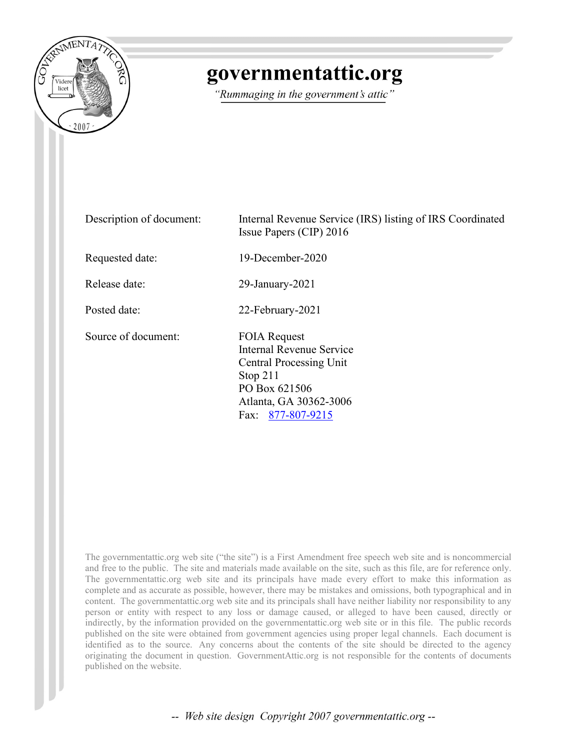

# governmentattic.org

"Rummaging in the government's attic"

Description of document: Internal Revenue Service (IRS) listing of IRS Coordinated Issue Papers (CIP) 2016 Requested date: 19-December-2020 Release date: 29-January-2021 Posted date: 22-February-2021 Source of document: FOIA Request Internal Revenue Service Central Processing Unit Stop 211 PO Box 621506 Atlanta, GA 30362-3006 Fax: [877-807-9215](tel:877-807-9215)

The governmentattic.org web site ("the site") is a First Amendment free speech web site and is noncommercial and free to the public. The site and materials made available on the site, such as this file, are for reference only. The governmentattic.org web site and its principals have made every effort to make this information as complete and as accurate as possible, however, there may be mistakes and omissions, both typographical and in content. The governmentattic.org web site and its principals shall have neither liability nor responsibility to any person or entity with respect to any loss or damage caused, or alleged to have been caused, directly or indirectly, by the information provided on the governmentattic.org web site or in this file. The public records published on the site were obtained from government agencies using proper legal channels. Each document is identified as to the source. Any concerns about the contents of the site should be directed to the agency originating the document in question. GovernmentAttic.org is not responsible for the contents of documents published on the website.

-- Web site design Copyright 2007 governmentattic.org --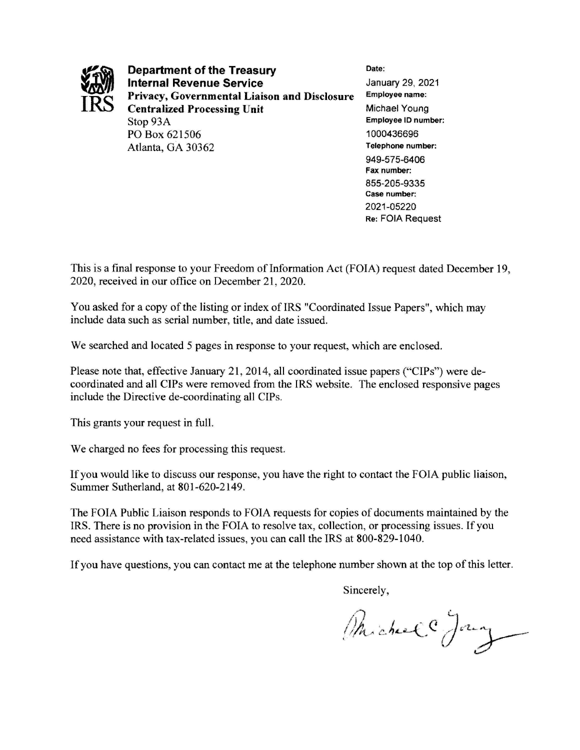

**Department of the Treasury Date: Internal Revenue Service January 29, 2021 Privacy, Governmental Liaison and Disclosure** Employee name: **Centralized Processing Unit 1999 Michael Young** Stop 93A **Employee** ID **number:**  PO Box 621506 1000436696 Atlanta, GA 30362 **Telephone number:** 

949-575-6406 **Fax number:**  855-205-9335 **Case number:**  2021-05220 **Re:** FOIA Request

This is a final response to your Freedom of Information Act (FOIA) request dated December 19, 2020, received in our office on December 21, 2020.

You asked for a copy of the listing or index of IRS "Coordinated Issue Papers", which may include data such as serial number, title, and date issued.

We searched and located 5 pages in response to your request, which are enclosed.

Please note that, effective January 21, 2014, all coordinated issue papers ("CIPs") were decoordinated and all CIPs were removed from the IRS website. The enclosed responsive pages include the Directive de-coordinating all CIPs.

This grants your request in full.

We charged no fees for processing this request.

If you would like to discuss our response, you have the right to contact the FOIA public liaison, Summer Sutherland, at 801-620-2149.

The FOIA Public Liaison responds to FOIA requests for copies of documents maintained by the IRS. There is no provision in the FOIA to resolve tax, collection, or processing issues. If you need assistance with tax-related issues, you can call the IRS at 800-829-1040.

If you have questions, you can contact me at the telephone number shown at the top of this letter.

Sincerely,

Phichel Jany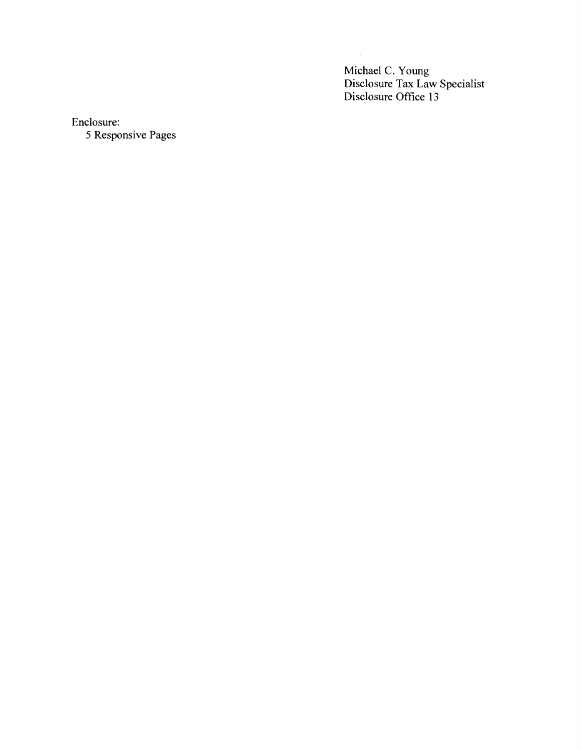Michael C. Young Disclosure Tax Law Specialist Disclosure Office 13

 $\mathcal{L}$ 

Enclosure:

5 Responsive Pages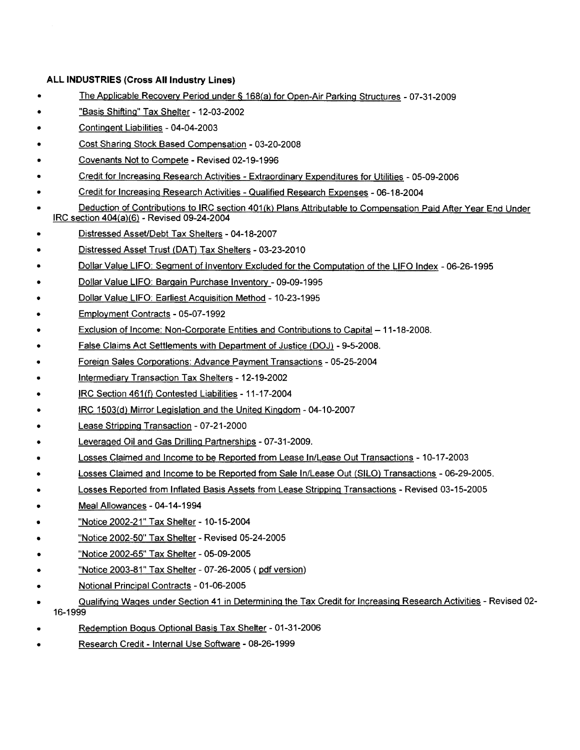#### **ALL INDUSTRIES (Cross All Industry Lines)**

- The Applicable Recovery Period under § 168(a) for Open-Air Parking Structures 07-31-2009
- "Basis Shifting" Tax Shelter 12-03-2002
- Contingent Liabilities 04-04-2003
- Cost Sharing Stock Based Compensation 03-20-2008
- Covenants Not to Compete Revised 02-19-1996
- Credit for Increasing Research Activities Extraordinary Expenditures for Utilities 05-09-2006
- Credit for Increasing Research Activities Qualified Research Expenses 06-18-2004
- Deduction of Contributions to IRC section 401(k) Plans Attributable to Compensation Paid After Year End Under IRC section 404(a)(6) - Revised 09-24-2004
- Distressed AsseUDebt Tax Shelters 04-18-2007
- Distressed Asset Trust (DAT) Tax Shelters 03-23-2010
- Dollar Value LIFO: Segment of Inventory Excluded for the Computation of the LIFO Index 06-26-1995
- Dollar Value LIFO: Bargain Purchase Inventory 09-09-1995
- Dollar Value LIFO: Earliest Acquisition Method 10-23-1995
- Employment Contracts 05-07-1992
- Exclusion of Income: Non-Corporate Entities and Contributions to Capital 11-18-2008.
- False Claims Act Settlements with Department of Justice (DOJ) 9-5-2008.
- Foreign Sales Corporations: Advance Payment Transactions 05-25-2004
- Intermediary Transaction Tax Shelters 12-19-2002
- IRC Section 461(f) Contested Liabilities 11-17-2004
- IRC 1503(d) Mirror Legislation and the United Kingdom 04-10-2007
- Lease Stripping Transaction 07-21-2000
- Leveraged Oil and Gas Drilling Partnerships 07-31-2009.
- Losses Claimed and Income to be Reported from Lease In/Lease Out Transactions 10-17-2003
- Losses Claimed and Income to be Reported from Sale In/Lease Out (SILO) Transactions 06-29-2005.
- Losses Reported from Inflated Basis Assets from Lease Stripping Transactions Revised 03-15-2005
- Meal Allowances 04-14-1994
- "Notice 2002-21" Tax Shelter- 10-15-2004
- "Notice 2002-50" Tax Shelter- Revised 05-24-2005
- "Notice 2002-65" Tax Shelter 05-09-2005
- "Notice 2003-81" Tax Shelter 07-26-2005 ( pdf version)
- Notional Principal Contracts 01-06-2005
- Qualifying Wages under Section 41 in Determining the Tax Credit for Increasing Research Activities Revised 02- 16-1999
- Redemption Bogus Optional Basis Tax Shelter 01-31-2006
- Research Credit Internal Use Software 08-26-1999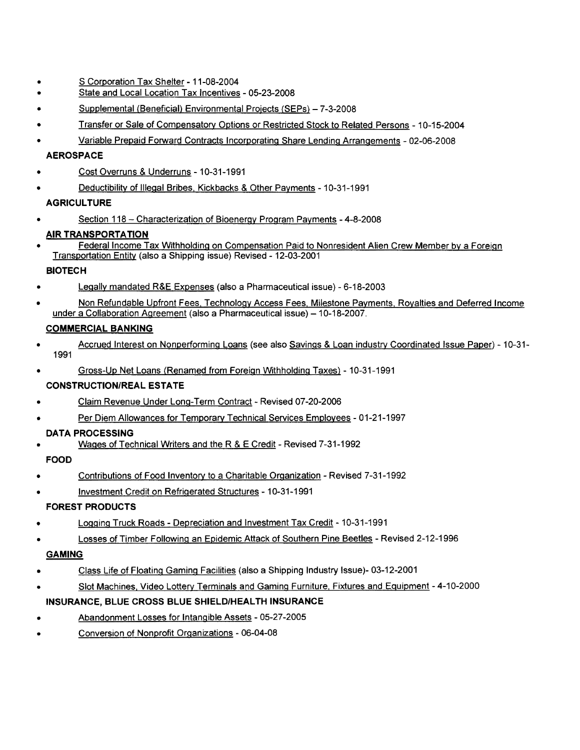- S Corporation Tax Shelter 11-08-2004
- State and Local Location Tax Incentives 05-23-2008
- Supplemental (Beneficial) Environmental Projects (SEPs) 7-3-2008
- Transfer or Sale of Compensatory Options or Restricted Stock to Related Persons 10-15-2004
- Variable Prepaid Forward Contracts Incorporating Share Lending Arrangements 02-06-2008

#### **AEROSPACE**

- Cost Overruns & Underruns -10-31-1991
- Deductibility of Illegal Bribes. Kickbacks & Other Payments -10-31-1991

#### **AGRICULTURE**

• Section 118 - Characterization of Bioenergy Program Payments - 4-8-2008

#### **AIR TRANSPORTATION**

• Federal Income Tax Withholding on Compensation Paid to Nonresident Alien Crew Member by a Foreign Transportation Entity (also a Shipping issue) Revised - 12-03-2001

#### **BIOTECH**

- Legally mandated R&E Expenses (also a Pharmaceutical issue) 6-18-2003
- Non Refundable Upfront Fees, Technology Access Fees, Milestone Payments, Royalties and Deferred Income under a Collaboration Agreement (also a Pharmaceutical issue) - 10-18-2007.

#### **COMMERCIAL BANKING**

- Accrued Interest on Nonperforming Loans (see also Savings & Loan industry Coordinated Issue Paper) -10-31- 1991
- Gross-Up Net Loans {Renamed from Foreign Withholding Taxes) 10-31-1991

#### **CONSTRUCTION/REAL ESTATE**

- Claim Revenue Under Long-Term Contract Revised 07-20-2006
- Per Diem Allowances for Temporary Technical Services Employees 01-21-1997

#### **DATA PROCESSING**

• Wages of Technical Writers and the R & E Credit - Revised 7-31-1992

#### **FOOD**

- Contributions of Food Inventory to a Charitable Organization - Revised 7-31-1992
- Investment Credit on Refrigerated Structures - 10-31-1991

#### **FOREST PRODUCTS**

- Logging Truck Roads - Depreciation and Investment Tax Credit - 10-31-1991
- Losses of Timber Following an Epidemic Attack of Southern Pine Beetles - Revised 2-12-1996

#### **GAMING**

- Class Life of Floating Gaming Facilities (also a Shipping Industry Issue)- 03-12-2001
- Slot Machines. Video Lottery Terminals and Gaming Furniture, Fixtures and Equipment 4-10-2000

#### **INSURANCE, BLUE CROSS BLUE SHIELD/HEALTH INSURANCE**

- Abandonment Losses for Intangible Assets 05-27-2005
- Conversion of Nonprofit Organizations 06-04-08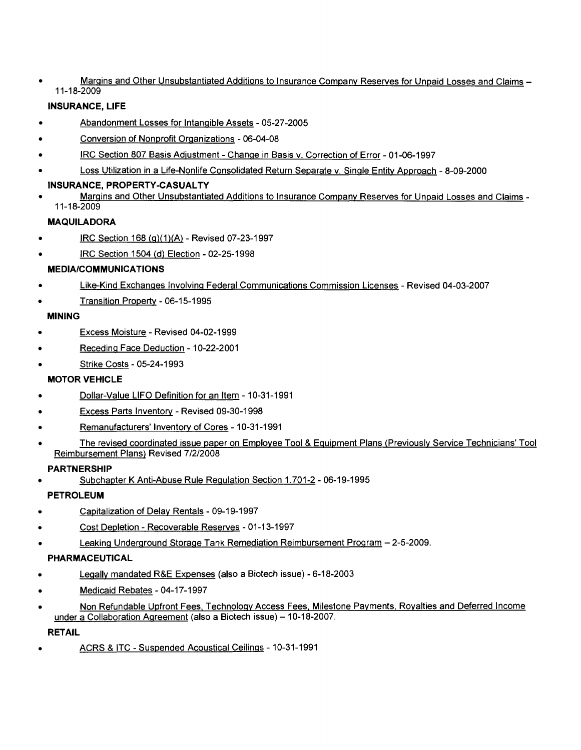• Margins and Other Unsubstantiated Additions to Insurance Company Reserves for Unpaid Losses and Claims - 11-18-2009

### **INSURANCE, LIFE**

- Abandonment Losses for Intangible Assets 05-27-2005
- Conversion of Nonprofit Organizations 06-04-08
- IRC Section 807 Basis Adjustment Change in Basis v. Correction of Error 01-06-1997
- Loss Utilization in a Life-Nonlife Consolidated Return Separate v. Single Entity Approach 8-09-2000
- **INSURANCE, PROPERTY-CASUALTY**
- Margins and Other Unsubstantiated Additions to Insurance Company Reserves for Unpaid Losses and Claims 11-18-2009

### **MAQUILADORA**

- IRC Section 168 (g)(1)(A) - Revised 07-23-1997
- IRC Section 1504 (d) Election - 02-25-1998

### **MEDIA/COMMUNICATIONS**

- Like-Kind Exchanges Involving Federal Communications Commission Licenses - Revised 04-03-2007
- Transition Property - 06-15-1995

#### **MINING**

- Excess Moisture - Revised 04-02-1999
- Receding Face Deduction - 10-22-2001
- Strike Costs - 05-24-1993

#### **MOTOR VEHICLE**

- Dollar-Value LIFO Definition for an Item -10-31-1991
- Excess Parts Inventory Revised 09-30-1998
- Remanufacturers' Inventory of Cores 10-31-1991
- The revised coordinated issue paper on Employee Tool & Equipment Plans (Previously Service Technicians' Tool Reimbursement Plans) Revised 7/2/2008

#### **PARTNERSHIP**

• Subchapter K Anti-Abuse Rule Regulation Section 1.701-2 - 06-19-1995

#### **PETROLEUM**

- Capitalization of Delay Rentals 09-19-1997
- Cost Depletion Recoverable Reserves 01-13-1997
- Leaking Underground Storage Tank Remediation Reimbursement Program 2-5-2009.

#### **PHARMACEUTICAL**

- Legally mandated R&E Expenses (also a Biotech issue) 6-18-2003
- Medicaid Rebates 04-17-1997
- Non Refundable Upfront Fees, Technology Access Fees, Milestone Payments, Royalties and Deferred Income under a Collaboration Agreement (also a Biotech issue) - 10-18-2007.

#### **RETAIL**

• ACRS & ITC - Suspended Acoustical Ceilings - 10-31-1991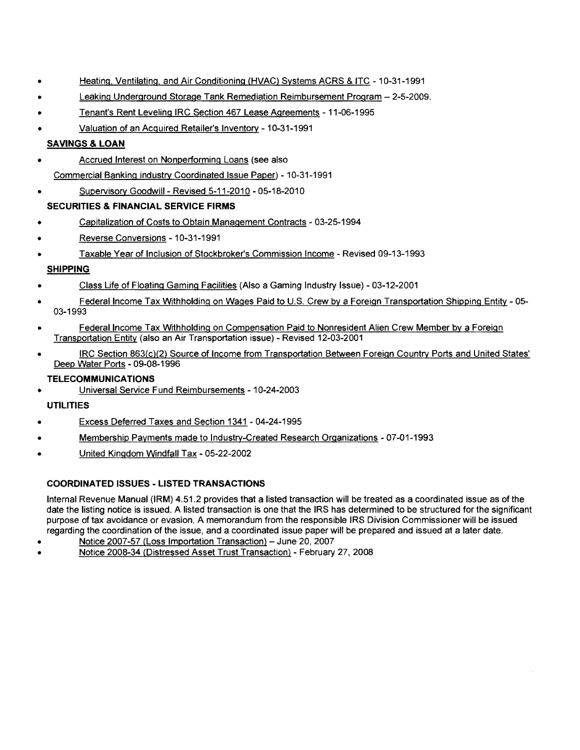- Heating, Ventilating, and Air Conditioning (HVAC} Systems ACRS & ITC 10-31-1991
- Leaking Underground Storage Tank Remediation Reimbursement Program 2-5-2009.
- Tenant's Rent Leveling IRC Section 467 Lease Agreements 11-06-1995
- Valuation of an Acquired Retailer's Inventory -10-31-1991

### **SAVINGS & LOAN**

- Accrued Interest on Nonperforming Loans (see also Commercial Banking industry Coordinated Issue Paper) - 10-31-1991
- Supervisory Goodwill Revised 5-11-2010 05-18-2010

#### **SECURITIES & FINANCIAL SERVICE FIRMS**

- Capitalization of Costs to Obtain Management Contracts 03-25-1994
- Reverse Conversions -10-31-1991
- Taxable Year of Inclusion of Stockbroker's Commission Income Revised 09-13-1993

### **SHIPPING**

- Class Life of Floating Gaming Facilities (Also a Gaming Industry Issue) 03-12-2001
- Federal Income Tax Withholding on Wages Paid to U.S. Crew by a Foreign Transportation Shipping Entity 05- 03-1993
- Federal Income Tax Withholding on Compensation Paid to Nonresident Alien Crew Member by a Foreign Transportation Entity (also an Air Transportation issue) - Revised 12-03-2001
- IRC Section 863(c)(2} Source of Income from Transportation Between Foreign Country Ports and United States' Deep Water Ports - 09-08-1996

#### **TELECOMMUNICATIONS**

• Universal Service Fund Reimbursements - 10-24-2003

#### **UTILITIES**

- Excess Deferred Taxes and Section 1341 - 04-24-1995
- Membership Payments made to Industry-Created Research Organizations - 07-01-1993
- United Kingdom Windfall Tax - 05-22-2002

#### **COORDINATED ISSUES- LISTED TRANSACTIONS**

Internal Revenue Manual (IRM) 4.51.2 provides that a listed transaction will be treated as a coordinated issue as of the date the listing notice is issued. A listed transaction is one that the IRS has determined to be structured for the significant purpose of tax avoidance or evasion. A memorandum from the responsible IRS Division Commissioner will be issued regarding the coordination of the issue, and a coordinated issue paper will be prepared and issued at a later date.

- Notice 2007-57 (Loss Importation Transaction) June 20, 2007
- Notice 2008-34 (Distressed Asset Trust Transaction) February 27, 2008